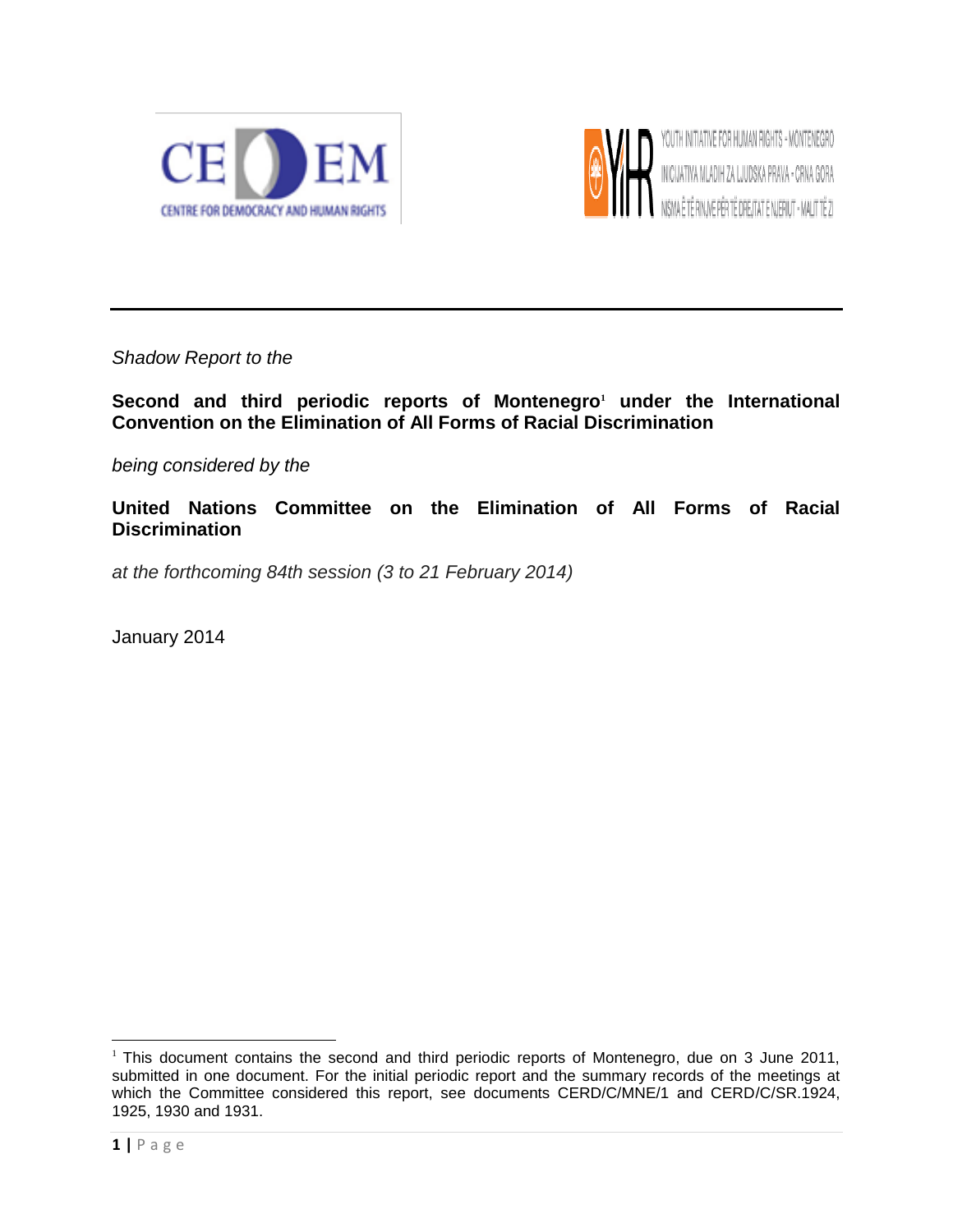



*Shadow Report to the*

**Second and third periodic reports of Montenegro<sup>1</sup> under the International Convention on the Elimination of All Forms of Racial Discrimination**

*being considered by the*

**United Nations Committee on the Elimination of All Forms of Racial Discrimination**

*at the forthcoming 84th session (3 to 21 February 2014)*

January 2014

<sup>&</sup>lt;sup>1</sup> This document contains the second and third periodic reports of Montenegro, due on 3 June 2011, submitted in one document. For the initial periodic report and the summary records of the meetings at which the Committee considered this report, see documents CERD/C/MNE/1 and CERD/C/SR.1924, 1925, 1930 and 1931.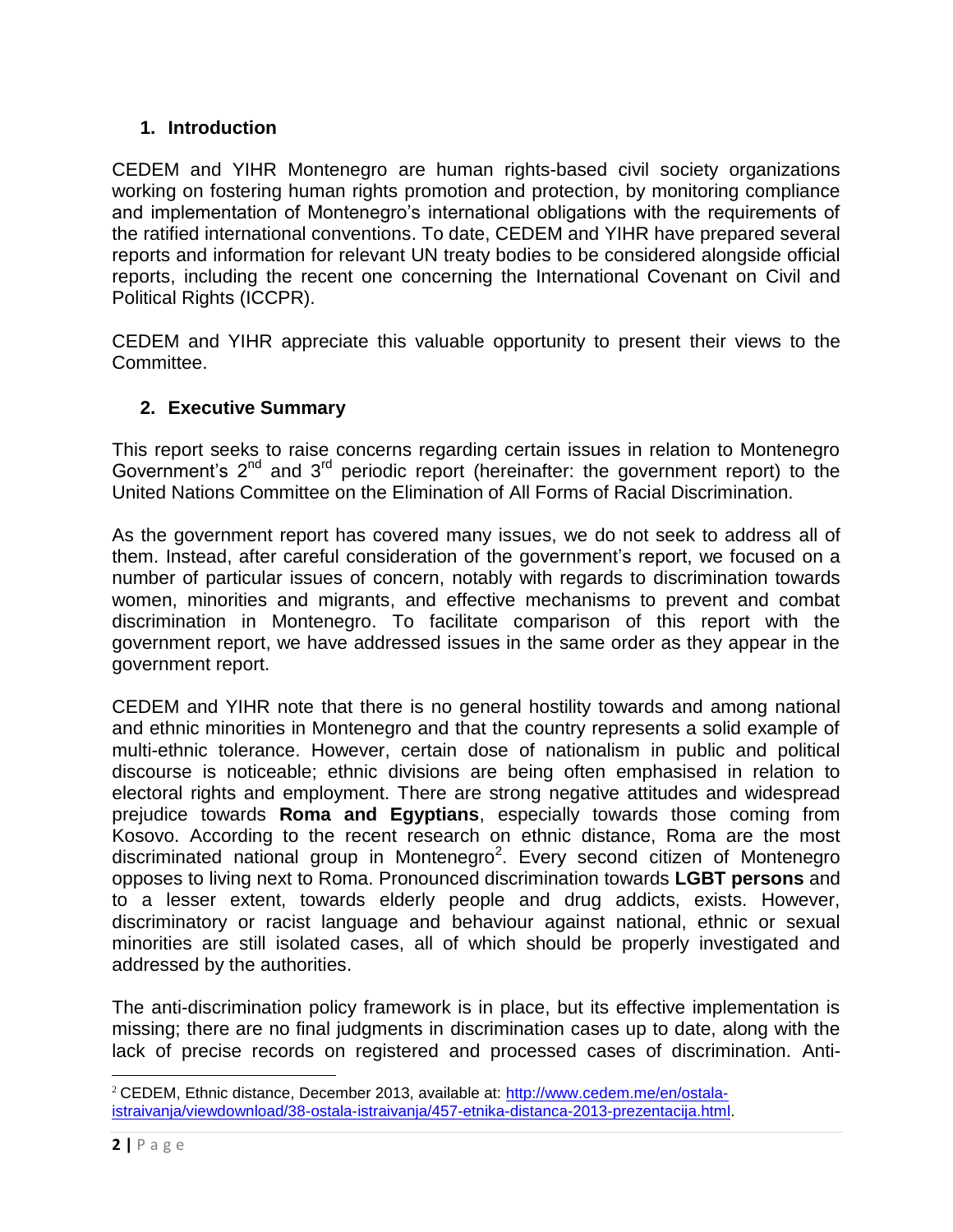# **1. Introduction**

CEDEM and YIHR Montenegro are human rights-based civil society organizations working on fostering human rights promotion and protection, by monitoring compliance and implementation of Montenegro's international obligations with the requirements of the ratified international conventions. To date, CEDEM and YIHR have prepared several reports and information for relevant UN treaty bodies to be considered alongside official reports, including the recent one concerning the International Covenant on Civil and Political Rights (ICCPR).

CEDEM and YIHR appreciate this valuable opportunity to present their views to the Committee.

#### **2. Executive Summary**

This report seeks to raise concerns regarding certain issues in relation to Montenegro Government's 2nd and 3rd periodic report (hereinafter: the government report) to the United Nations Committee on the Elimination of All Forms of Racial Discrimination.

As the government report has covered many issues, we do not seek to address all of them. Instead, after careful consideration of the government's report, we focused on a number of particular issues of concern, notably with regards to discrimination towards women, minorities and migrants, and effective mechanisms to prevent and combat discrimination in Montenegro. To facilitate comparison of this report with the government report, we have addressed issues in the same order as they appear in the government report.

CEDEM and YIHR note that there is no general hostility towards and among national and ethnic minorities in Montenegro and that the country represents a solid example of multi-ethnic tolerance. However, certain dose of nationalism in public and political discourse is noticeable; ethnic divisions are being often emphasised in relation to electoral rights and employment. There are strong negative attitudes and widespread prejudice towards **Roma and Egyptians**, especially towards those coming from Kosovo. According to the recent research on ethnic distance, Roma are the most discriminated national group in Montenegro<sup>2</sup>. Every second citizen of Montenegro opposes to living next to Roma. Pronounced discrimination towards **LGBT persons** and to a lesser extent, towards elderly people and drug addicts, exists. However, discriminatory or racist language and behaviour against national, ethnic or sexual minorities are still isolated cases, all of which should be properly investigated and addressed by the authorities.

The anti-discrimination policy framework is in place, but its effective implementation is missing; there are no final judgments in discrimination cases up to date, along with the lack of precise records on registered and processed cases of discrimination. Anti-

<sup>2</sup> CEDEM, Ethnic distance, December 2013, available at: [http://www.cedem.me/en/ostala](http://www.cedem.me/en/ostala-istraivanja/viewdownload/38-ostala-istraivanja/457-etnika-distanca-2013-prezentacija.html)[istraivanja/viewdownload/38-ostala-istraivanja/457-etnika-distanca-2013-prezentacija.html.](http://www.cedem.me/en/ostala-istraivanja/viewdownload/38-ostala-istraivanja/457-etnika-distanca-2013-prezentacija.html)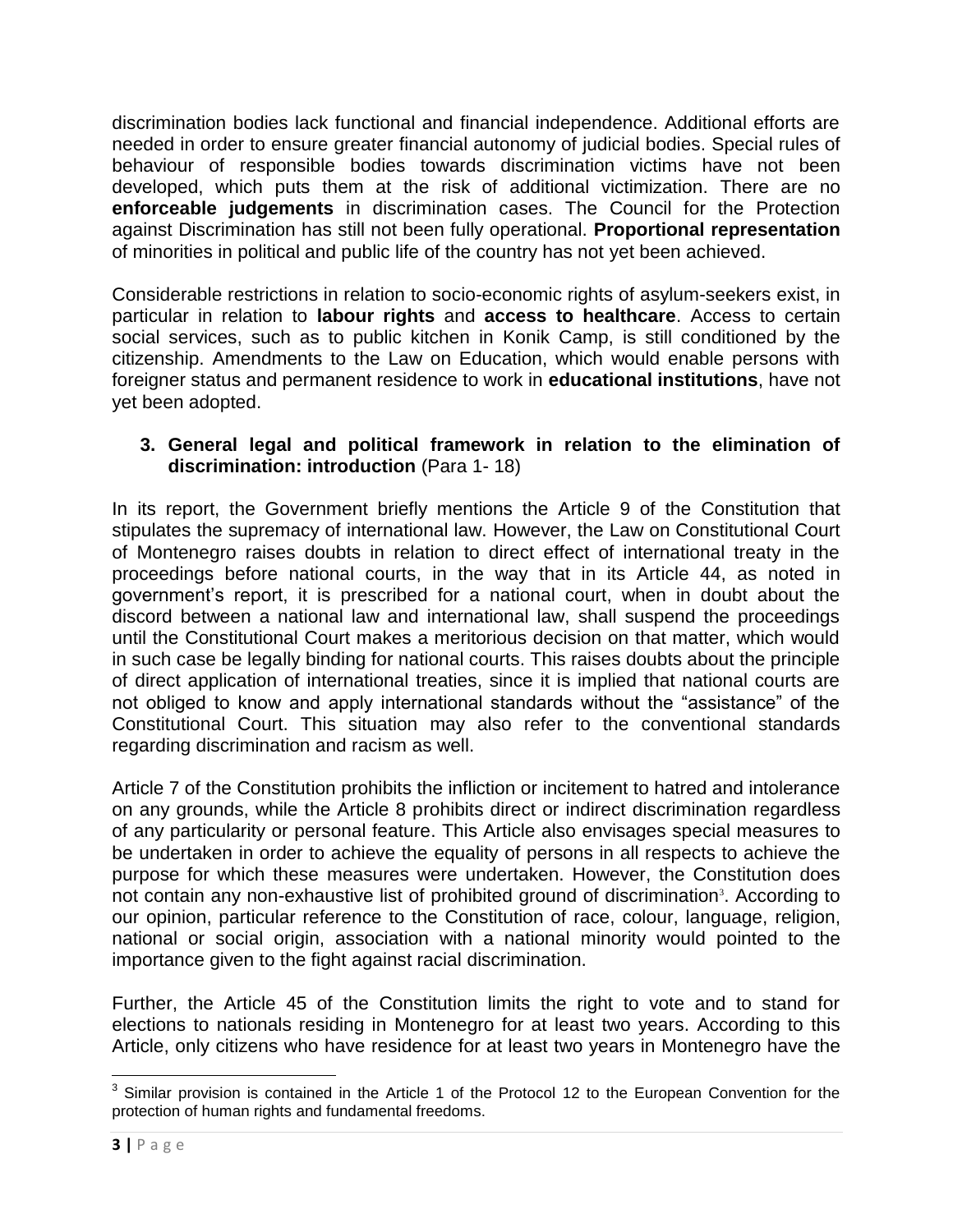discrimination bodies lack functional and financial independence. Additional efforts are needed in order to ensure greater financial autonomy of judicial bodies. Special rules of behaviour of responsible bodies towards discrimination victims have not been developed, which puts them at the risk of additional victimization. There are no **enforceable judgements** in discrimination cases. The Council for the Protection against Discrimination has still not been fully operational. **Proportional representation** of minorities in political and public life of the country has not yet been achieved.

Considerable restrictions in relation to socio-economic rights of asylum-seekers exist, in particular in relation to **labour rights** and **access to healthcare**. Access to certain social services, such as to public kitchen in Konik Camp, is still conditioned by the citizenship. Amendments to the Law on Education, which would enable persons with foreigner status and permanent residence to work in **educational institutions**, have not yet been adopted.

## **3. General legal and political framework in relation to the elimination of discrimination: introduction** (Para 1- 18)

In its report, the Government briefly mentions the Article 9 of the Constitution that stipulates the supremacy of international law. However, the Law on Constitutional Court of Montenegro raises doubts in relation to direct effect of international treaty in the proceedings before national courts, in the way that in its Article 44, as noted in government's report, it is prescribed for a national court, when in doubt about the discord between a national law and international law, shall suspend the proceedings until the Constitutional Court makes a meritorious decision on that matter, which would in such case be legally binding for national courts. This raises doubts about the principle of direct application of international treaties, since it is implied that national courts are not obliged to know and apply international standards without the "assistance" of the Constitutional Court. This situation may also refer to the conventional standards regarding discrimination and racism as well.

Article 7 of the Constitution prohibits the infliction or incitement to hatred and intolerance on any grounds, while the Article 8 prohibits direct or indirect discrimination regardless of any particularity or personal feature. This Article also envisages special measures to be undertaken in order to achieve the equality of persons in all respects to achieve the purpose for which these measures were undertaken. However, the Constitution does not contain any non-exhaustive list of prohibited ground of discrimination<sup>3</sup>. According to our opinion, particular reference to the Constitution of race, colour, language, religion, national or social origin, association with a national minority would pointed to the importance given to the fight against racial discrimination.

Further, the Article 45 of the Constitution limits the right to vote and to stand for elections to nationals residing in Montenegro for at least two years. According to this Article, only citizens who have residence for at least two years in Montenegro have the

**EXECUTE:**<br><sup>3</sup> Similar provision is contained in the Article 1 of the Protocol 12 to the European Convention for the protection of human rights and fundamental freedoms.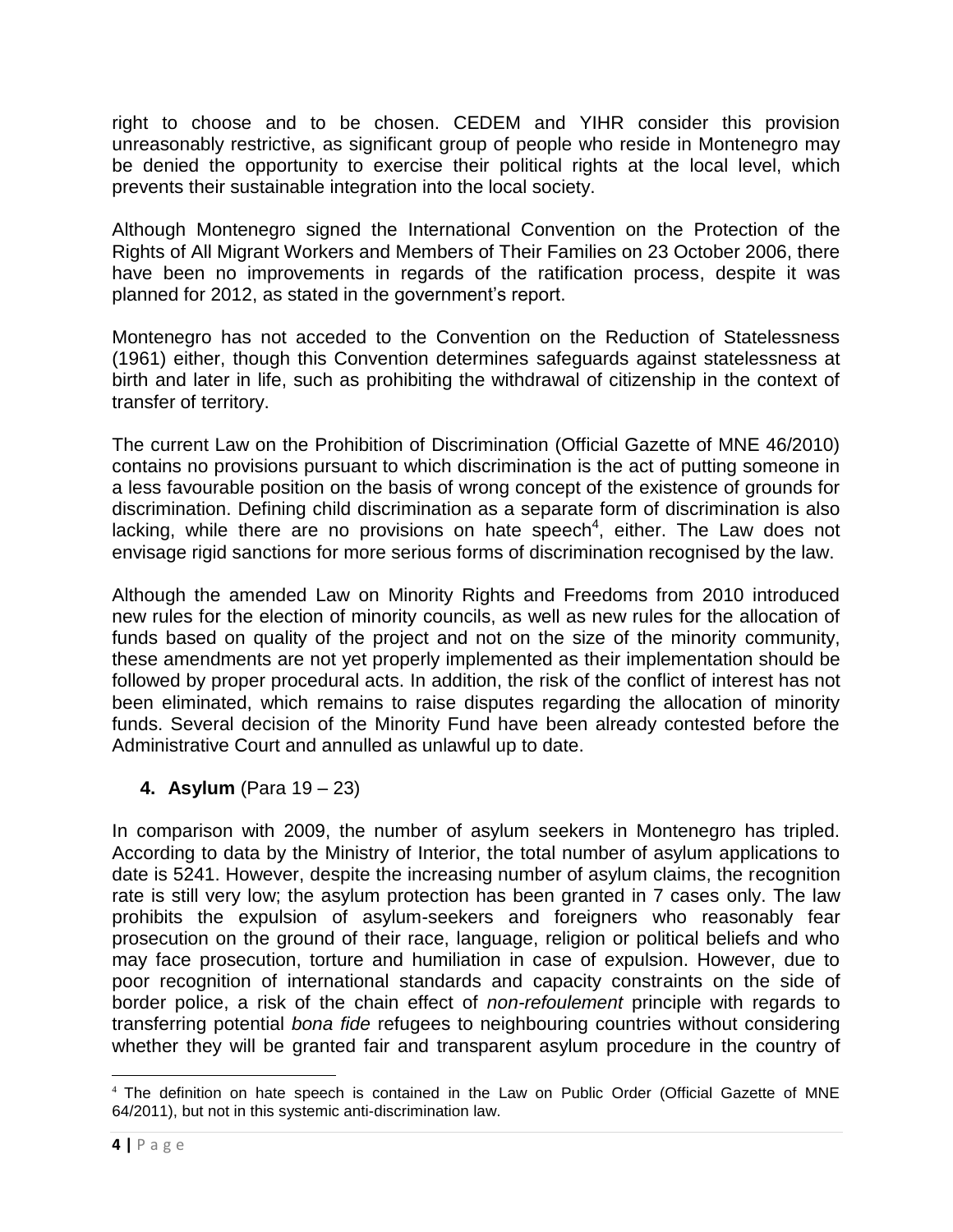right to choose and to be chosen. CEDEM and YIHR consider this provision unreasonably restrictive, as significant group of people who reside in Montenegro may be denied the opportunity to exercise their political rights at the local level, which prevents their sustainable integration into the local society.

Although Montenegro signed the International Convention on the Protection of the Rights of All Migrant Workers and Members of Their Families on 23 October 2006, there have been no improvements in regards of the ratification process, despite it was planned for 2012, as stated in the government's report.

Montenegro has not acceded to the Convention on the Reduction of Statelessness (1961) either, though this Convention determines safeguards against statelessness at birth and later in life, such as prohibiting the withdrawal of citizenship in the context of transfer of territory.

The current Law on the Prohibition of Discrimination (Official Gazette of MNE 46/2010) contains no provisions pursuant to which discrimination is the act of putting someone in a less favourable position on the basis of wrong concept of the existence of grounds for discrimination. Defining child discrimination as a separate form of discrimination is also lacking, while there are no provisions on hate speech<sup>4</sup>, either. The Law does not envisage rigid sanctions for more serious forms of discrimination recognised by the law.

Although the amended Law on Minority Rights and Freedoms from 2010 introduced new rules for the election of minority councils, as well as new rules for the allocation of funds based on quality of the project and not on the size of the minority community, these amendments are not yet properly implemented as their implementation should be followed by proper procedural acts. In addition, the risk of the conflict of interest has not been eliminated, which remains to raise disputes regarding the allocation of minority funds. Several decision of the Minority Fund have been already contested before the Administrative Court and annulled as unlawful up to date.

**4. Asylum** (Para 19 – 23)

In comparison with 2009, the number of asylum seekers in Montenegro has tripled. According to data by the Ministry of Interior, the total number of asylum applications to date is 5241. However, despite the increasing number of asylum claims, the recognition rate is still very low; the asylum protection has been granted in 7 cases only. The law prohibits the expulsion of asylum-seekers and foreigners who reasonably fear prosecution on the ground of their race, language, religion or political beliefs and who may face prosecution, torture and humiliation in case of expulsion. However, due to poor recognition of international standards and capacity constraints on the side of border police, a risk of the chain effect of *non-refoulement* principle with regards to transferring potential *bona fide* refugees to neighbouring countries without considering whether they will be granted fair and transparent asylum procedure in the country of

 $\overline{\phantom{a}}$ <sup>4</sup> The definition on hate speech is contained in the Law on Public Order (Official Gazette of MNE 64/2011), but not in this systemic anti-discrimination law.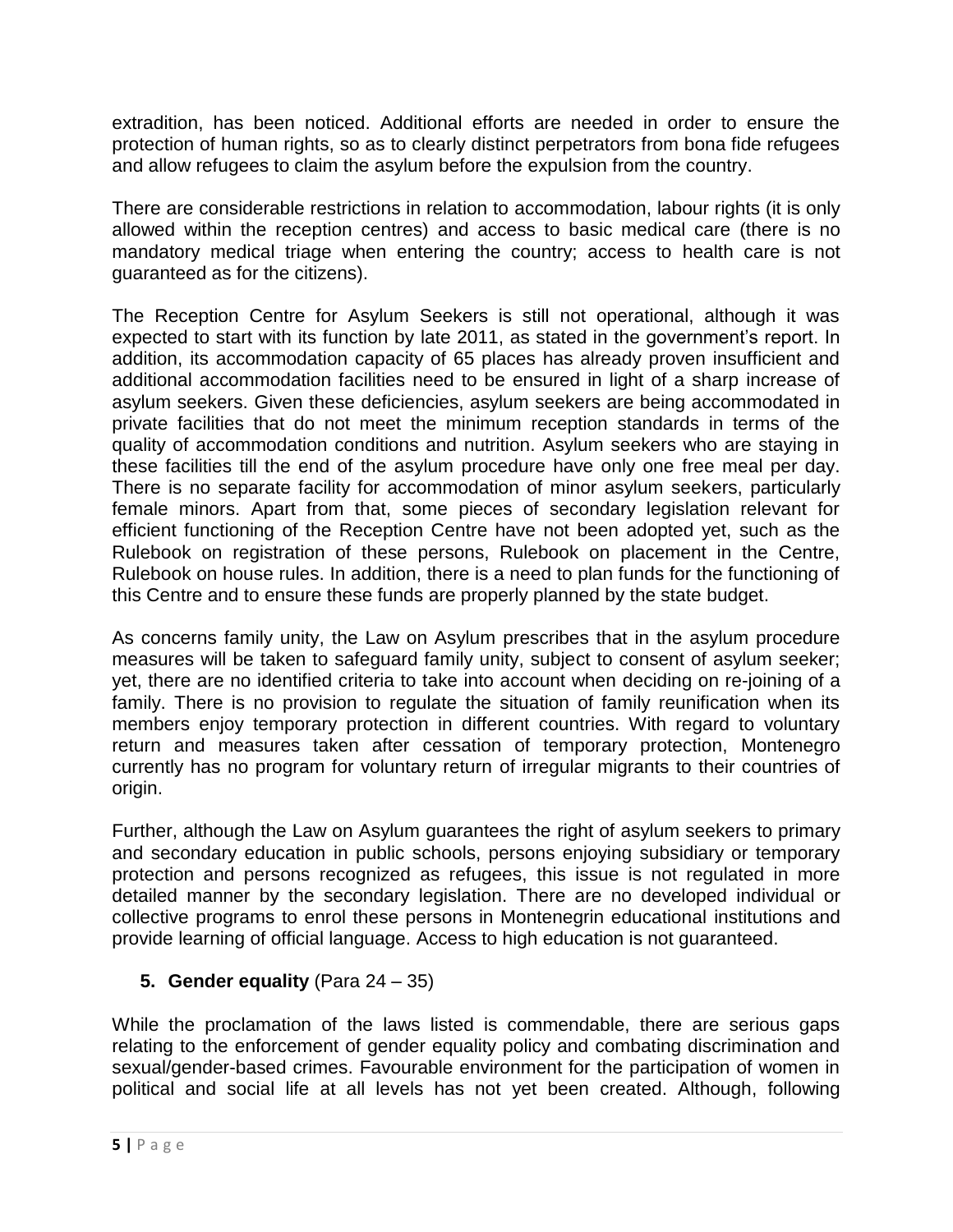extradition, has been noticed. Additional efforts are needed in order to ensure the protection of human rights, so as to clearly distinct perpetrators from bona fide refugees and allow refugees to claim the asylum before the expulsion from the country.

There are considerable restrictions in relation to accommodation, labour rights (it is only allowed within the reception centres) and access to basic medical care (there is no mandatory medical triage when entering the country; access to health care is not guaranteed as for the citizens).

The Reception Centre for Asylum Seekers is still not operational, although it was expected to start with its function by late 2011, as stated in the government's report. In addition, its accommodation capacity of 65 places has already proven insufficient and additional accommodation facilities need to be ensured in light of a sharp increase of asylum seekers. Given these deficiencies, asylum seekers are being accommodated in private facilities that do not meet the minimum reception standards in terms of the quality of accommodation conditions and nutrition. Asylum seekers who are staying in these facilities till the end of the asylum procedure have only one free meal per day. There is no separate facility for accommodation of minor asylum seekers, particularly female minors. Apart from that, some pieces of secondary legislation relevant for efficient functioning of the Reception Centre have not been adopted yet, such as the Rulebook on registration of these persons, Rulebook on placement in the Centre, Rulebook on house rules. In addition, there is a need to plan funds for the functioning of this Centre and to ensure these funds are properly planned by the state budget.

As concerns family unity, the Law on Asylum prescribes that in the asylum procedure measures will be taken to safeguard family unity, subject to consent of asylum seeker; yet, there are no identified criteria to take into account when deciding on re-joining of a family. There is no provision to regulate the situation of family reunification when its members enjoy temporary protection in different countries. With regard to voluntary return and measures taken after cessation of temporary protection, Montenegro currently has no program for voluntary return of irregular migrants to their countries of origin.

Further, although the Law on Asylum guarantees the right of asylum seekers to primary and secondary education in public schools, persons enjoying subsidiary or temporary protection and persons recognized as refugees, this issue is not regulated in more detailed manner by the secondary legislation. There are no developed individual or collective programs to enrol these persons in Montenegrin educational institutions and provide learning of official language. Access to high education is not guaranteed.

# **5. Gender equality** (Para 24 – 35)

While the proclamation of the laws listed is commendable, there are serious gaps relating to the enforcement of gender equality policy and combating discrimination and sexual/gender-based crimes. Favourable environment for the participation of women in political and social life at all levels has not yet been created. Although, following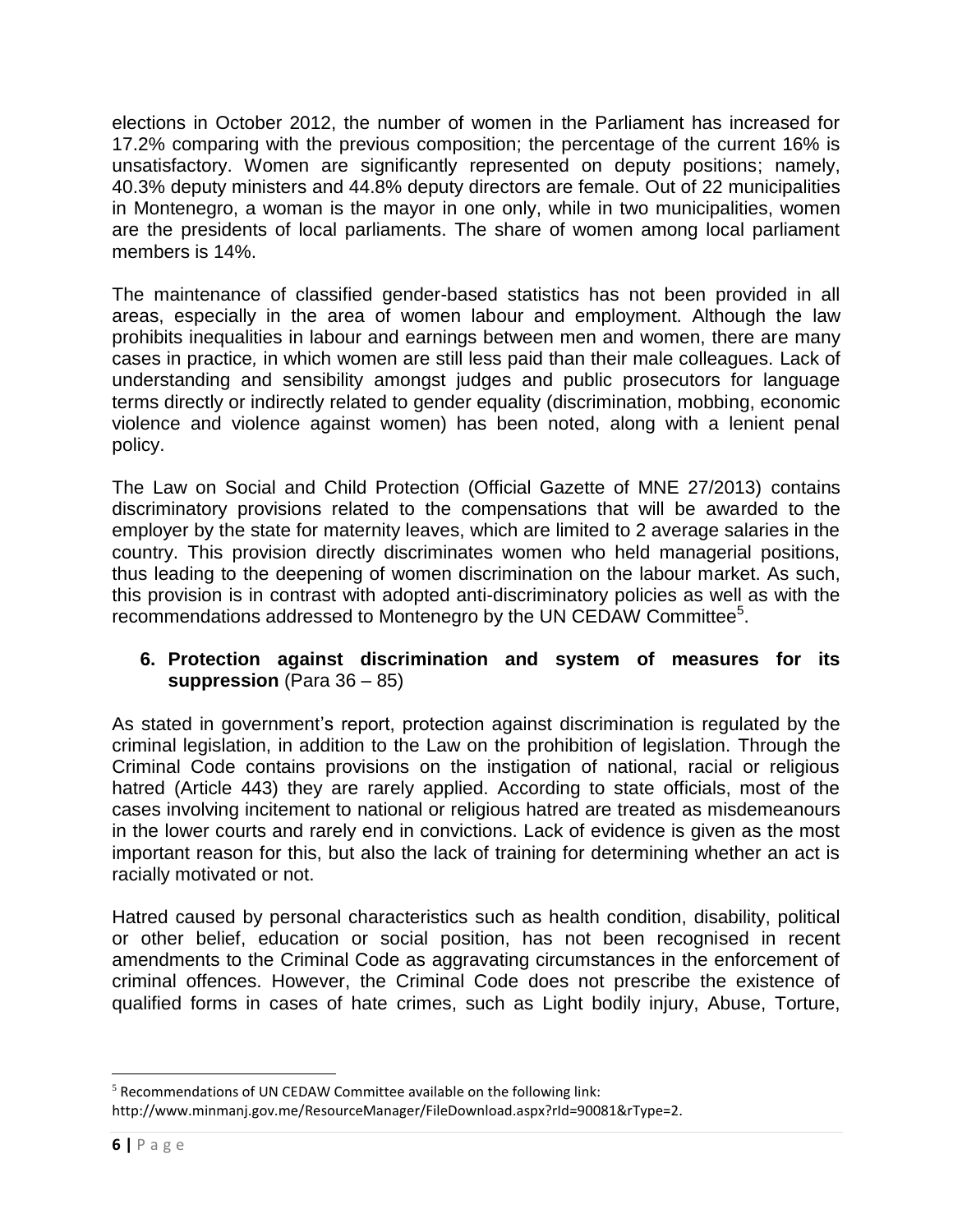elections in October 2012, the number of women in the Parliament has increased for 17.2% comparing with the previous composition; the percentage of the current 16% is unsatisfactory. Women are significantly represented on deputy positions; namely, 40.3% deputy ministers and 44.8% deputy directors are female. Out of 22 municipalities in Montenegro, a woman is the mayor in one only, while in two municipalities, women are the presidents of local parliaments. The share of women among local parliament members is 14%.

The maintenance of classified gender-based statistics has not been provided in all areas, especially in the area of women labour and employment. Although the law prohibits inequalities in labour and earnings between men and women, there are many cases in practice*,* in which women are still less paid than their male colleagues. Lack of understanding and sensibility amongst judges and public prosecutors for language terms directly or indirectly related to gender equality (discrimination, mobbing, economic violence and violence against women) has been noted, along with a lenient penal policy.

The Law on Social and Child Protection (Official Gazette of MNE 27/2013) contains discriminatory provisions related to the compensations that will be awarded to the employer by the state for maternity leaves, which are limited to 2 average salaries in the country. This provision directly discriminates women who held managerial positions, thus leading to the deepening of women discrimination on the labour market. As such, this provision is in contrast with adopted anti-discriminatory policies as well as with the recommendations addressed to Montenegro by the UN CEDAW Committee<sup>5</sup>.

# **6. Protection against discrimination and system of measures for its suppression** (Para 36 – 85)

As stated in government's report, protection against discrimination is regulated by the criminal legislation, in addition to the Law on the prohibition of legislation. Through the Criminal Code contains provisions on the instigation of national, racial or religious hatred (Article 443) they are rarely applied. According to state officials, most of the cases involving incitement to national or religious hatred are treated as misdemeanours in the lower courts and rarely end in convictions. Lack of evidence is given as the most important reason for this, but also the lack of training for determining whether an act is racially motivated or not.

Hatred caused by personal characteristics such as health condition, disability, political or other belief, education or social position, has not been recognised in recent amendments to the Criminal Code as aggravating circumstances in the enforcement of criminal offences. However, the Criminal Code does not prescribe the existence of qualified forms in cases of hate crimes, such as Light bodily injury, Abuse, Torture,

l  $5$  Recommendations of UN CEDAW Committee available on the following link:

http://www.minmanj.gov.me/ResourceManager/FileDownload.aspx?rId=90081&rType=2.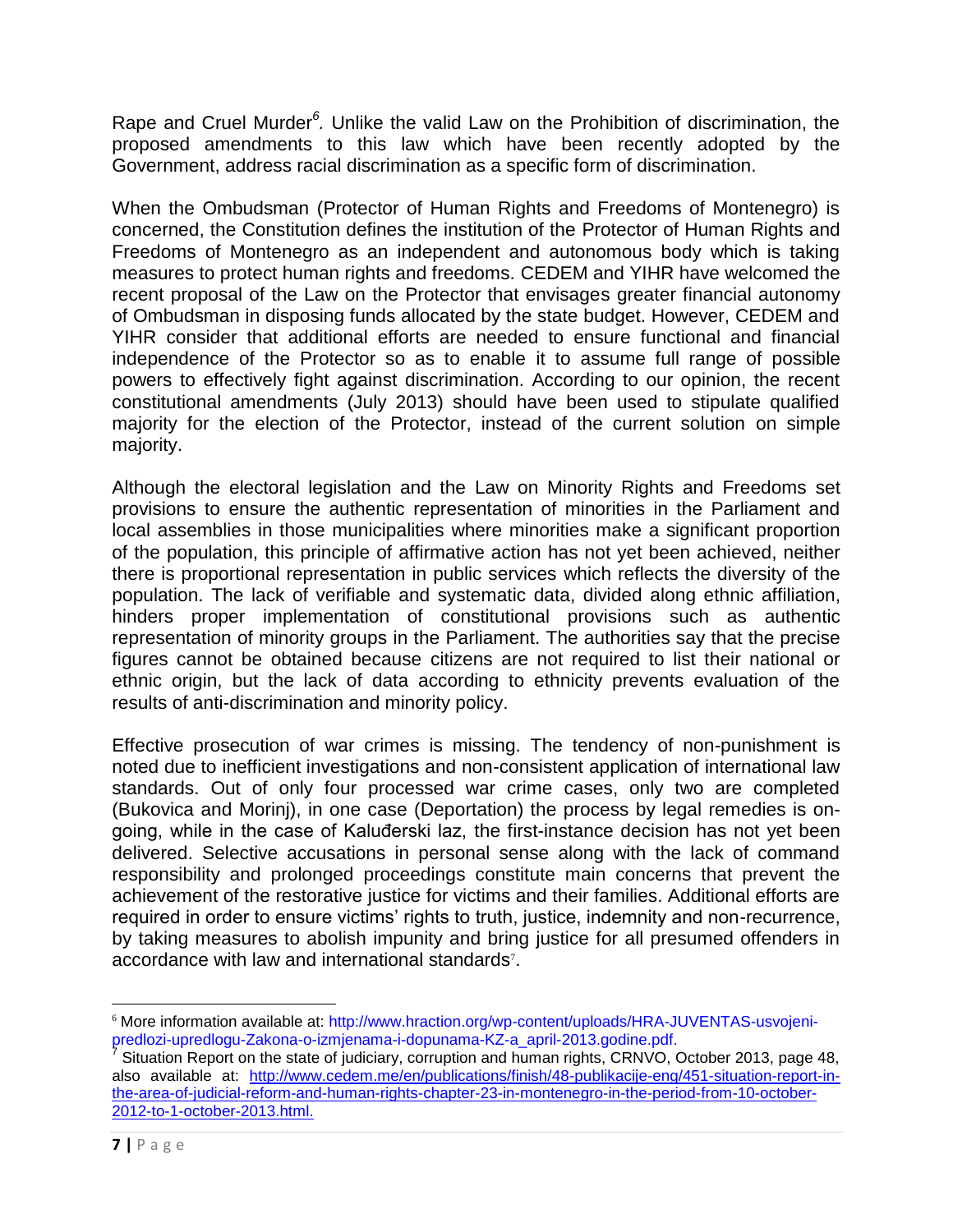Rape and Cruel Murder<sup>6</sup>. Unlike the valid Law on the Prohibition of discrimination, the proposed amendments to this law which have been recently adopted by the Government, address racial discrimination as a specific form of discrimination.

When the Ombudsman (Protector of Human Rights and Freedoms of Montenegro) is concerned, the Constitution defines the institution of the Protector of Human Rights and Freedoms of Montenegro as an independent and autonomous body which is taking measures to protect human rights and freedoms. CEDEM and YIHR have welcomed the recent proposal of the Law on the Protector that envisages greater financial autonomy of Ombudsman in disposing funds allocated by the state budget. However, CEDEM and YIHR consider that additional efforts are needed to ensure functional and financial independence of the Protector so as to enable it to assume full range of possible powers to effectively fight against discrimination. According to our opinion, the recent constitutional amendments (July 2013) should have been used to stipulate qualified majority for the election of the Protector, instead of the current solution on simple majority.

Although the electoral legislation and the Law on Minority Rights and Freedoms set provisions to ensure the authentic representation of minorities in the Parliament and local assemblies in those municipalities where minorities make a significant proportion of the population, this principle of affirmative action has not yet been achieved, neither there is proportional representation in public services which reflects the diversity of the population. The lack of verifiable and systematic data, divided along ethnic affiliation, hinders proper implementation of constitutional provisions such as authentic representation of minority groups in the Parliament. The authorities say that the precise figures cannot be obtained because citizens are not required to list their national or ethnic origin, but the lack of data according to ethnicity prevents evaluation of the results of anti-discrimination and minority policy.

Effective prosecution of war crimes is missing. The tendency of non-punishment is noted due to inefficient investigations and non-consistent application of international law standards. Out of only four processed war crime cases, only two are completed (Bukovica and Morinj), in one case (Deportation) the process by legal remedies is ongoing, while in the case of Kaluđerski laz, the first-instance decision has not yet been delivered. Selective accusations in personal sense along with the lack of command responsibility and prolonged proceedings constitute main concerns that prevent the achievement of the restorative justice for victims and their families. Additional efforts are required in order to ensure victims' rights to truth, justice, indemnity and non-recurrence, by taking measures to abolish impunity and bring justice for all presumed offenders in accordance with law and international standards<sup>7</sup>.

l <sup>6</sup> More information available at: http://www.hraction.org/wp-content/uploads/HRA-JUVENTAS-usvojenipredlozi-upredlogu-Zakona-o-izmjenama-i-dopunama-KZ-a\_april-2013.godine.pdf. 7

Situation Report on the state of judiciary, corruption and human rights, CRNVO, October 2013, page 48, also available at: [http://www.cedem.me/en/publications/finish/48-publikacije-eng/451-situation-report-in](http://www.cedem.me/en/publications/finish/48-publikacije-eng/451-situation-report-in-the-area-of-judicial-reform-and-human-rights-chapter-23-in-montenegro-in-the-period-from-10-october-2012-to-1-october-2013.html)[the-area-of-judicial-reform-and-human-rights-chapter-23-in-montenegro-in-the-period-from-10-october-](http://www.cedem.me/en/publications/finish/48-publikacije-eng/451-situation-report-in-the-area-of-judicial-reform-and-human-rights-chapter-23-in-montenegro-in-the-period-from-10-october-2012-to-1-october-2013.html)[2012-to-1-october-2013.html.](http://www.cedem.me/en/publications/finish/48-publikacije-eng/451-situation-report-in-the-area-of-judicial-reform-and-human-rights-chapter-23-in-montenegro-in-the-period-from-10-october-2012-to-1-october-2013.html)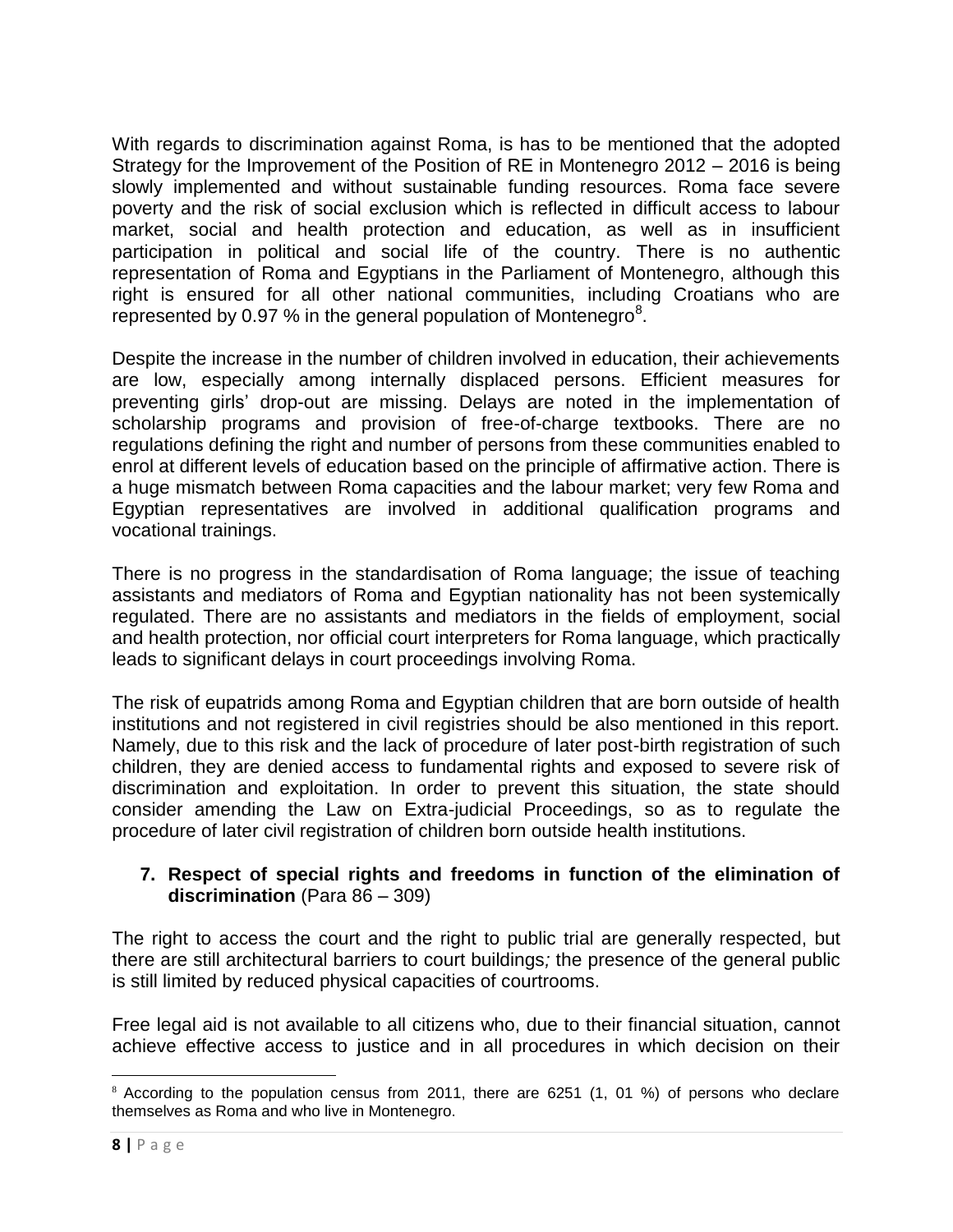With regards to discrimination against Roma, is has to be mentioned that the adopted Strategy for the Improvement of the Position of RE in Montenegro 2012 – 2016 is being slowly implemented and without sustainable funding resources. Roma face severe poverty and the risk of social exclusion which is reflected in difficult access to labour market, social and health protection and education, as well as in insufficient participation in political and social life of the country. There is no authentic representation of Roma and Egyptians in the Parliament of Montenegro, although this right is ensured for all other national communities, including Croatians who are represented by 0.97 % in the general population of Montenegro<sup>8</sup>.

Despite the increase in the number of children involved in education, their achievements are low, especially among internally displaced persons. Efficient measures for preventing girls' drop-out are missing. Delays are noted in the implementation of scholarship programs and provision of free-of-charge textbooks. There are no regulations defining the right and number of persons from these communities enabled to enrol at different levels of education based on the principle of affirmative action. There is a huge mismatch between Roma capacities and the labour market; very few Roma and Egyptian representatives are involved in additional qualification programs and vocational trainings.

There is no progress in the standardisation of Roma language; the issue of teaching assistants and mediators of Roma and Egyptian nationality has not been systemically regulated. There are no assistants and mediators in the fields of employment, social and health protection, nor official court interpreters for Roma language, which practically leads to significant delays in court proceedings involving Roma.

The risk of eupatrids among Roma and Egyptian children that are born outside of health institutions and not registered in civil registries should be also mentioned in this report. Namely, due to this risk and the lack of procedure of later post-birth registration of such children, they are denied access to fundamental rights and exposed to severe risk of discrimination and exploitation. In order to prevent this situation, the state should consider amending the Law on Extra-judicial Proceedings, so as to regulate the procedure of later civil registration of children born outside health institutions.

#### **7. Respect of special rights and freedoms in function of the elimination of discrimination** (Para 86 – 309)

The right to access the court and the right to public trial are generally respected, but there are still architectural barriers to court buildings*;* the presence of the general public is still limited by reduced physical capacities of courtrooms.

Free legal aid is not available to all citizens who, due to their financial situation, cannot achieve effective access to justice and in all procedures in which decision on their

<sup>&</sup>lt;sup>8</sup> According to the population census from 2011, there are 6251 (1, 01 %) of persons who declare themselves as Roma and who live in Montenegro.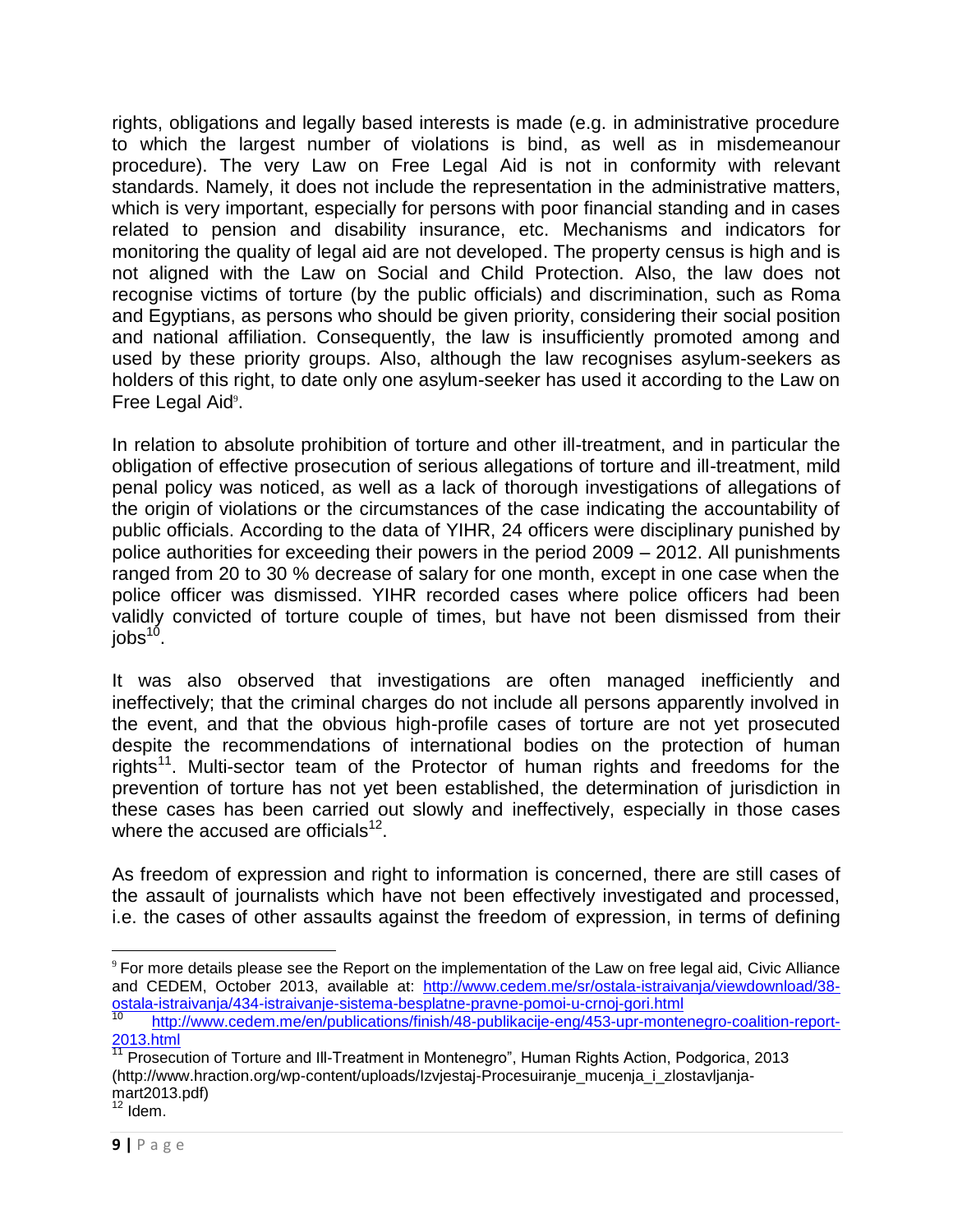rights, obligations and legally based interests is made (e.g. in administrative procedure to which the largest number of violations is bind, as well as in misdemeanour procedure). The very Law on Free Legal Aid is not in conformity with relevant standards. Namely, it does not include the representation in the administrative matters, which is very important, especially for persons with poor financial standing and in cases related to pension and disability insurance, etc. Mechanisms and indicators for monitoring the quality of legal aid are not developed. The property census is high and is not aligned with the Law on Social and Child Protection. Also, the law does not recognise victims of torture (by the public officials) and discrimination, such as Roma and Egyptians, as persons who should be given priority, considering their social position and national affiliation. Consequently, the law is insufficiently promoted among and used by these priority groups. Also, although the law recognises asylum-seekers as holders of this right, to date only one asylum-seeker has used it according to the Law on Free Legal Aid<sup>9</sup>.

In relation to absolute prohibition of torture and other ill-treatment, and in particular the obligation of effective prosecution of serious allegations of torture and ill-treatment, mild penal policy was noticed, as well as a lack of thorough investigations of allegations of the origin of violations or the circumstances of the case indicating the accountability of public officials. According to the data of YIHR, 24 officers were disciplinary punished by police authorities for exceeding their powers in the period 2009 – 2012. All punishments ranged from 20 to 30 % decrease of salary for one month, except in one case when the police officer was dismissed. YIHR recorded cases where police officers had been validly convicted of torture couple of times, but have not been dismissed from their jobs<sup>10</sup>.

It was also observed that investigations are often managed inefficiently and ineffectively; that the criminal charges do not include all persons apparently involved in the event, and that the obvious high-profile cases of torture are not yet prosecuted despite the recommendations of international bodies on the protection of human rights<sup>11</sup>. Multi-sector team of the Protector of human rights and freedoms for the prevention of torture has not yet been established, the determination of jurisdiction in these cases has been carried out slowly and ineffectively, especially in those cases where the accused are officials $^{12}$ .

As freedom of expression and right to information is concerned, there are still cases of the assault of journalists which have not been effectively investigated and processed, i.e. the cases of other assaults against the freedom of expression, in terms of defining

<sup>9</sup> For more details please see the Report on the implementation of the Law on free legal aid, Civic Alliance and CEDEM, October 2013, available at: [http://www.cedem.me/sr/ostala-istraivanja/viewdownload/38](http://www.cedem.me/sr/ostala-istraivanja/viewdownload/38-ostala-istraivanja/434-istraivanje-sistema-besplatne-pravne-pomoi-u-crnoj-gori.html) [ostala-istraivanja/434-istraivanje-sistema-besplatne-pravne-pomoi-u-crnoj-gori.html](http://www.cedem.me/sr/ostala-istraivanja/viewdownload/38-ostala-istraivanja/434-istraivanje-sistema-besplatne-pravne-pomoi-u-crnoj-gori.html)

<sup>10</sup> [http://www.cedem.me/en/publications/finish/48-publikacije-eng/453-upr-montenegro-coalition-report-](http://www.cedem.me/en/publications/finish/48-publikacije-eng/453-upr-montenegro-coalition-report-2013.html) $\frac{2013.$ html

<sup>11</sup> Prosecution of Torture and Ill-Treatment in Montenegro", Human Rights Action, Podgorica, 2013 (http://www.hraction.org/wp-content/uploads/Izvjestaj-Procesuiranje\_mucenja\_i\_zlostavljanjamart2013.pdf)

 $12$  Idem.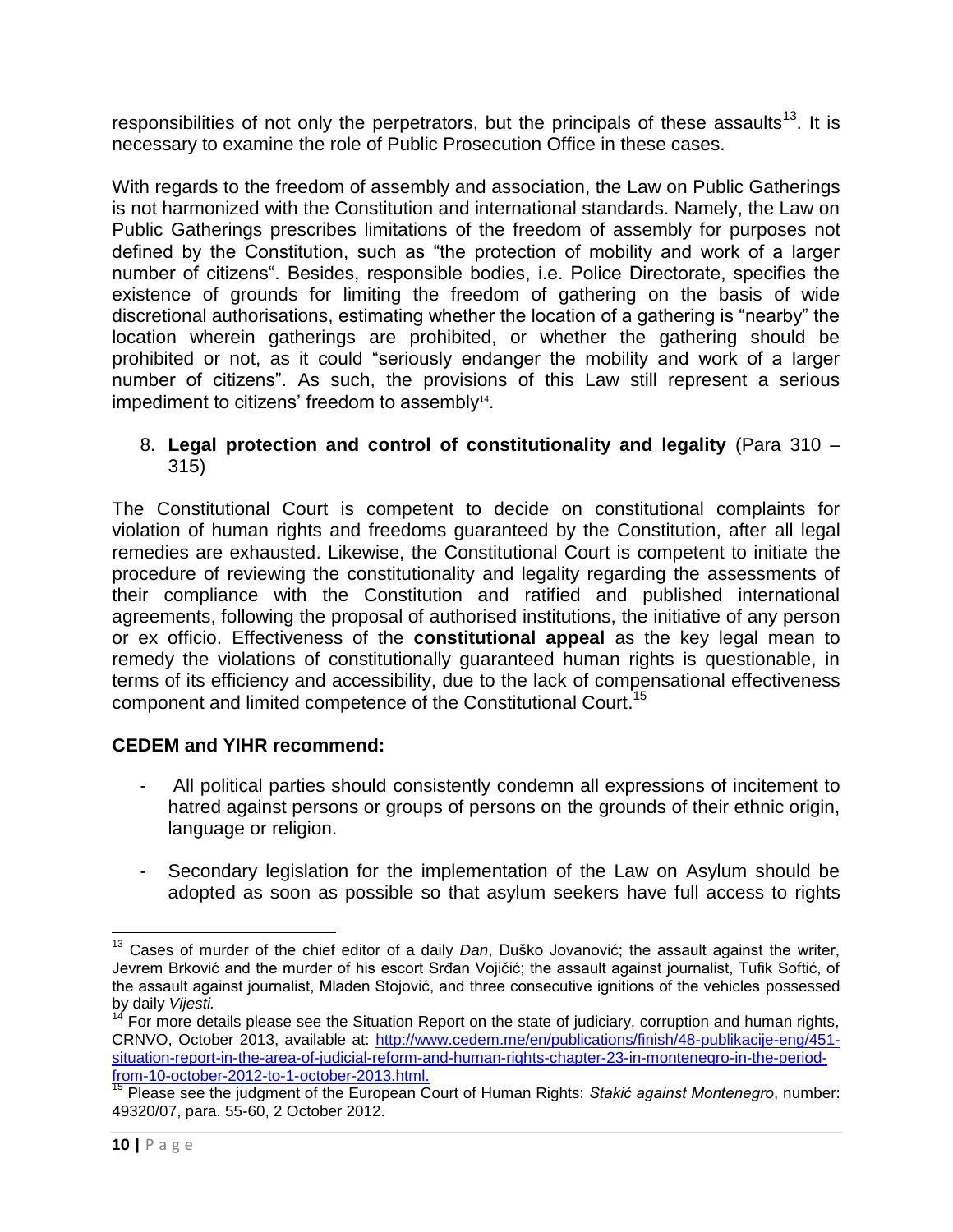responsibilities of not only the perpetrators, but the principals of these assaults<sup>13</sup>. It is necessary to examine the role of Public Prosecution Office in these cases.

With regards to the freedom of assembly and association, the Law on Public Gatherings is not harmonized with the Constitution and international standards. Namely, the Law on Public Gatherings prescribes limitations of the freedom of assembly for purposes not defined by the Constitution, such as "the protection of mobility and work of a larger number of citizens". Besides, responsible bodies, i.e. Police Directorate, specifies the existence of grounds for limiting the freedom of gathering on the basis of wide discretional authorisations, estimating whether the location of a gathering is "nearby" the location wherein gatherings are prohibited, or whether the gathering should be prohibited or not, as it could "seriously endanger the mobility and work of a larger number of citizens". As such, the provisions of this Law still represent a serious impediment to citizens' freedom to assembly $14$ .

## 8. **Legal protection and control of constitutionality and legality** (Para 310 – 315)

The Constitutional Court is competent to decide on constitutional complaints for violation of human rights and freedoms guaranteed by the Constitution, after all legal remedies are exhausted. Likewise, the Constitutional Court is competent to initiate the procedure of reviewing the constitutionality and legality regarding the assessments of their compliance with the Constitution and ratified and published international agreements, following the proposal of authorised institutions, the initiative of any person or ex officio. Effectiveness of the **constitutional appeal** as the key legal mean to remedy the violations of constitutionally guaranteed human rights is questionable, in terms of its efficiency and accessibility, due to the lack of compensational effectiveness component and limited competence of the Constitutional Court.<sup>15</sup>

# **CEDEM and YIHR recommend:**

- All political parties should consistently condemn all expressions of incitement to hatred against persons or groups of persons on the grounds of their ethnic origin, language or religion.
- Secondary legislation for the implementation of the Law on Asylum should be adopted as soon as possible so that asylum seekers have full access to rights

 $\overline{\phantom{a}}$ <sup>13</sup> Cases of murder of the chief editor of a daily *Dan*, Duško Jovanović; the assault against the writer, Jevrem Brković and the murder of his escort Srđan Vojičić; the assault against journalist, Tufik Softić, of the assault against journalist, Mladen Stojović, and three consecutive ignitions of the vehicles possessed by daily *Vijesti.*

 $14$  For more details please see the Situation Report on the state of judiciary, corruption and human rights, CRNVO, October 2013, available at: [http://www.cedem.me/en/publications/finish/48-publikacije-eng/451](http://www.cedem.me/en/publications/finish/48-publikacije-eng/451-situation-report-in-the-area-of-judicial-reform-and-human-rights-chapter-23-in-montenegro-in-the-period-from-10-october-2012-to-1-october-2013.html) [situation-report-in-the-area-of-judicial-reform-and-human-rights-chapter-23-in-montenegro-in-the-period](http://www.cedem.me/en/publications/finish/48-publikacije-eng/451-situation-report-in-the-area-of-judicial-reform-and-human-rights-chapter-23-in-montenegro-in-the-period-from-10-october-2012-to-1-october-2013.html)[from-10-october-2012-to-1-october-2013.html.](http://www.cedem.me/en/publications/finish/48-publikacije-eng/451-situation-report-in-the-area-of-judicial-reform-and-human-rights-chapter-23-in-montenegro-in-the-period-from-10-october-2012-to-1-october-2013.html)

<sup>15</sup> Please see the judgment of the European Court of Human Rights: *Stakić against Montenegro*, number: 49320/07, para. 55-60, 2 October 2012.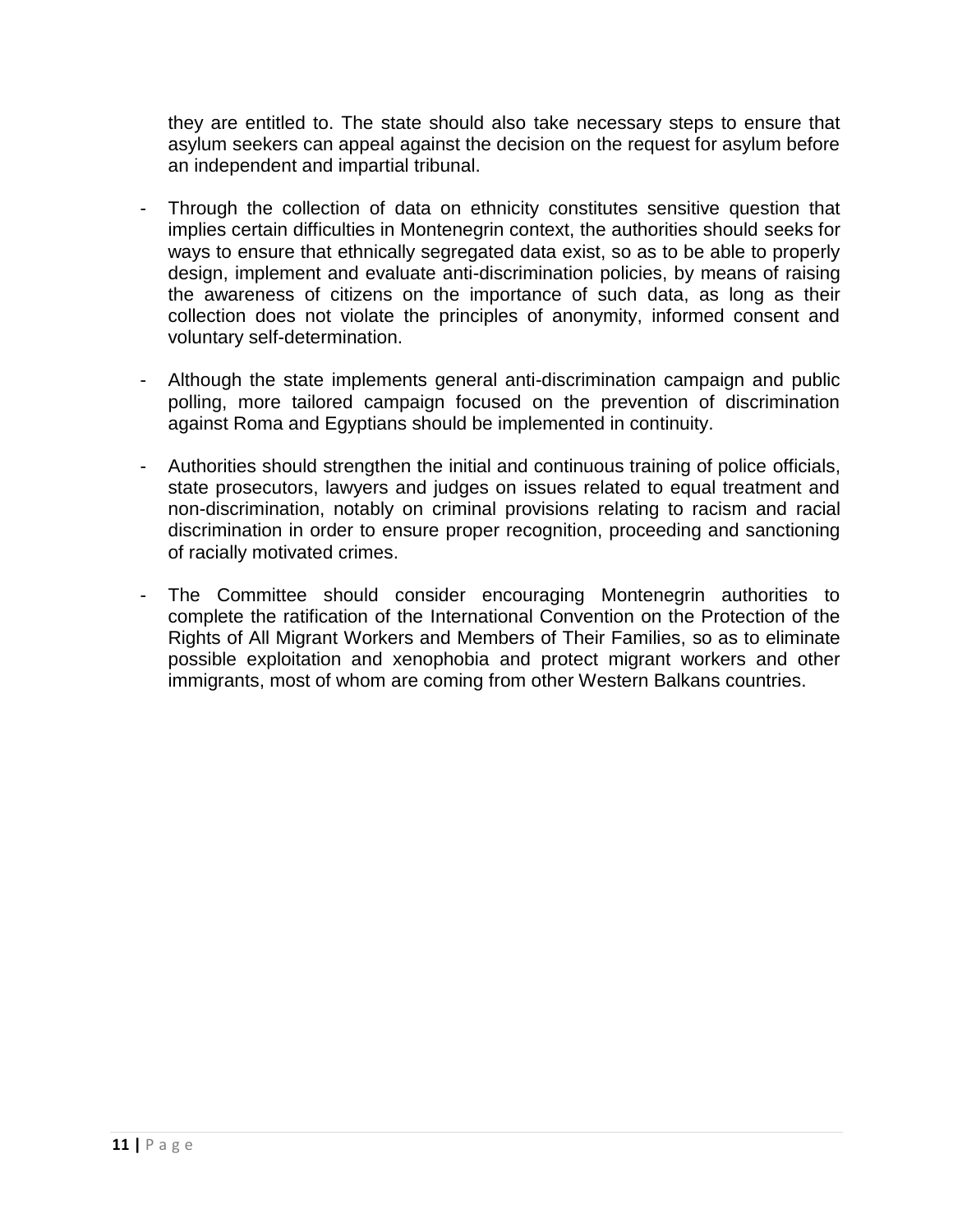they are entitled to. The state should also take necessary steps to ensure that asylum seekers can appeal against the decision on the request for asylum before an independent and impartial tribunal.

- Through the collection of data on ethnicity constitutes sensitive question that implies certain difficulties in Montenegrin context, the authorities should seeks for ways to ensure that ethnically segregated data exist, so as to be able to properly design, implement and evaluate anti-discrimination policies, by means of raising the awareness of citizens on the importance of such data, as long as their collection does not violate the principles of anonymity, informed consent and voluntary self-determination.
- Although the state implements general anti-discrimination campaign and public polling, more tailored campaign focused on the prevention of discrimination against Roma and Egyptians should be implemented in continuity.
- Authorities should strengthen the initial and continuous training of police officials, state prosecutors, lawyers and judges on issues related to equal treatment and non-discrimination, notably on criminal provisions relating to racism and racial discrimination in order to ensure proper recognition, proceeding and sanctioning of racially motivated crimes.
- The Committee should consider encouraging Montenegrin authorities to complete the ratification of the International Convention on the Protection of the Rights of All Migrant Workers and Members of Their Families, so as to eliminate possible exploitation and xenophobia and protect migrant workers and other immigrants, most of whom are coming from other Western Balkans countries.